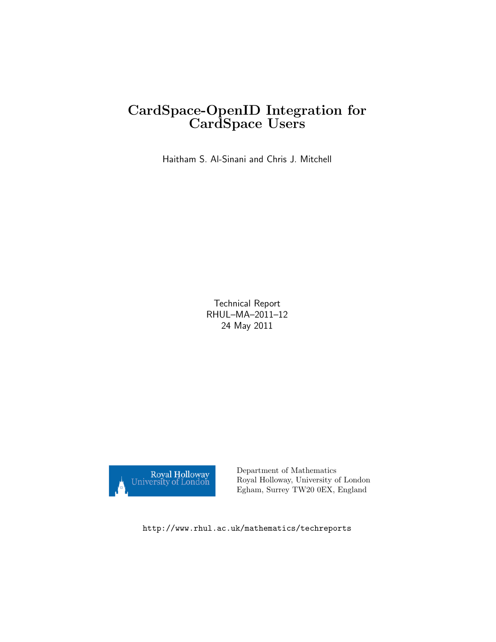# CardSpace-OpenID Integration for CardSpace Users

Haitham S. Al-Sinani and Chris J. Mitchell

Technical Report RHUL–MA–2011–12 24 May 2011



Department of Mathematics Royal Holloway, University of London Egham, Surrey TW20 0EX, England

http://www.rhul.ac.uk/mathematics/techreports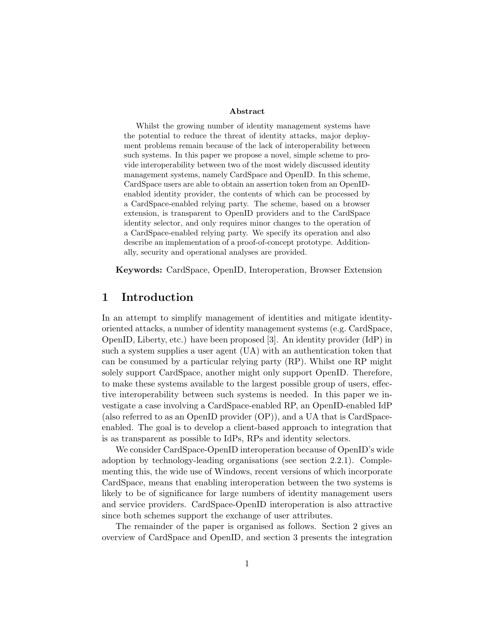#### Abstract

Whilst the growing number of identity management systems have the potential to reduce the threat of identity attacks, major deployment problems remain because of the lack of interoperability between such systems. In this paper we propose a novel, simple scheme to provide interoperability between two of the most widely discussed identity management systems, namely CardSpace and OpenID. In this scheme, CardSpace users are able to obtain an assertion token from an OpenIDenabled identity provider, the contents of which can be processed by a CardSpace-enabled relying party. The scheme, based on a browser extension, is transparent to OpenID providers and to the CardSpace identity selector, and only requires minor changes to the operation of a CardSpace-enabled relying party. We specify its operation and also describe an implementation of a proof-of-concept prototype. Additionally, security and operational analyses are provided.

Keywords: CardSpace, OpenID, Interoperation, Browser Extension

### 1 Introduction

In an attempt to simplify management of identities and mitigate identityoriented attacks, a number of identity management systems (e.g. CardSpace, OpenID, Liberty, etc.) have been proposed [3]. An identity provider (IdP) in such a system supplies a user agent (UA) with an authentication token that can be consumed by a particular relying party (RP). Whilst one RP might solely support CardSpace, another might only support OpenID. Therefore, to make these systems available to the largest possible group of users, effective interoperability between such systems is needed. In this paper we investigate a case involving a CardSpace-enabled RP, an OpenID-enabled IdP (also referred to as an OpenID provider (OP)), and a UA that is CardSpaceenabled. The goal is to develop a client-based approach to integration that is as transparent as possible to IdPs, RPs and identity selectors.

We consider CardSpace-OpenID interoperation because of OpenID's wide adoption by technology-leading organisations (see section 2.2.1). Complementing this, the wide use of Windows, recent versions of which incorporate CardSpace, means that enabling interoperation between the two systems is likely to be of significance for large numbers of identity management users and service providers. CardSpace-OpenID interoperation is also attractive since both schemes support the exchange of user attributes.

The remainder of the paper is organised as follows. Section 2 gives an overview of CardSpace and OpenID, and section 3 presents the integration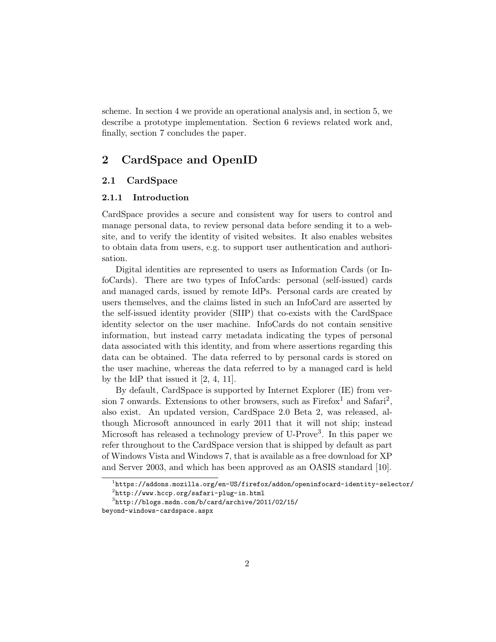scheme. In section 4 we provide an operational analysis and, in section 5, we describe a prototype implementation. Section 6 reviews related work and, finally, section 7 concludes the paper.

## 2 CardSpace and OpenID

### 2.1 CardSpace

#### 2.1.1 Introduction

CardSpace provides a secure and consistent way for users to control and manage personal data, to review personal data before sending it to a website, and to verify the identity of visited websites. It also enables websites to obtain data from users, e.g. to support user authentication and authorisation.

Digital identities are represented to users as Information Cards (or InfoCards). There are two types of InfoCards: personal (self-issued) cards and managed cards, issued by remote IdPs. Personal cards are created by users themselves, and the claims listed in such an InfoCard are asserted by the self-issued identity provider (SIIP) that co-exists with the CardSpace identity selector on the user machine. InfoCards do not contain sensitive information, but instead carry metadata indicating the types of personal data associated with this identity, and from where assertions regarding this data can be obtained. The data referred to by personal cards is stored on the user machine, whereas the data referred to by a managed card is held by the IdP that issued it [2, 4, 11].

By default, CardSpace is supported by Internet Explorer (IE) from version 7 onwards. Extensions to other browsers, such as  $Firefox<sup>1</sup>$  and  $Safari<sup>2</sup>$ , also exist. An updated version, CardSpace 2.0 Beta 2, was released, although Microsoft announced in early 2011 that it will not ship; instead Microsoft has released a technology preview of U-Prove<sup>3</sup>. In this paper we refer throughout to the CardSpace version that is shipped by default as part of Windows Vista and Windows 7, that is available as a free download for XP and Server 2003, and which has been approved as an OASIS standard [10].

 $^1$ https://addons.mozilla.org/en-US/firefox/addon/openinfocard-identity-selector/  $^{2}$ http://www.hccp.org/safari-plug-in.html

 $^3$ http://blogs.msdn.com/b/card/archive/2011/02/15/

beyond-windows-cardspace.aspx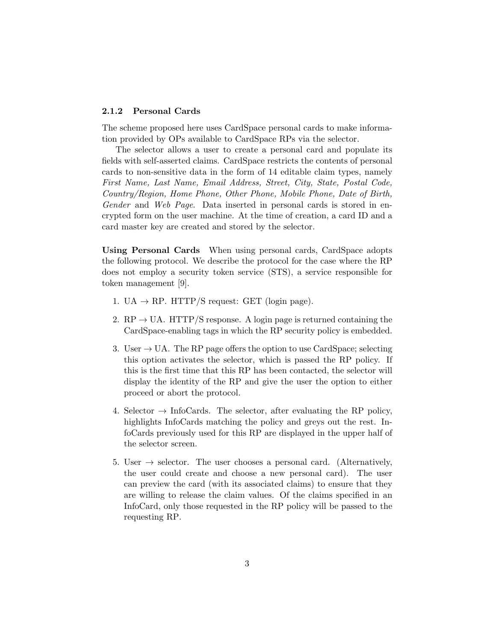#### 2.1.2 Personal Cards

The scheme proposed here uses CardSpace personal cards to make information provided by OPs available to CardSpace RPs via the selector.

The selector allows a user to create a personal card and populate its fields with self-asserted claims. CardSpace restricts the contents of personal cards to non-sensitive data in the form of 14 editable claim types, namely First Name, Last Name, Email Address, Street, City, State, Postal Code, Country/Region, Home Phone, Other Phone, Mobile Phone, Date of Birth, Gender and Web Page. Data inserted in personal cards is stored in encrypted form on the user machine. At the time of creation, a card ID and a card master key are created and stored by the selector.

Using Personal Cards When using personal cards, CardSpace adopts the following protocol. We describe the protocol for the case where the RP does not employ a security token service (STS), a service responsible for token management [9].

- 1. UA  $\rightarrow$  RP. HTTP/S request: GET (login page).
- 2.  $RP \rightarrow UA$ . HTTP/S response. A login page is returned containing the CardSpace-enabling tags in which the RP security policy is embedded.
- 3. User  $\rightarrow$  UA. The RP page offers the option to use CardSpace; selecting this option activates the selector, which is passed the RP policy. If this is the first time that this RP has been contacted, the selector will display the identity of the RP and give the user the option to either proceed or abort the protocol.
- 4. Selector  $\rightarrow$  InfoCards. The selector, after evaluating the RP policy, highlights InfoCards matching the policy and greys out the rest. InfoCards previously used for this RP are displayed in the upper half of the selector screen.
- 5. User  $\rightarrow$  selector. The user chooses a personal card. (Alternatively, the user could create and choose a new personal card). The user can preview the card (with its associated claims) to ensure that they are willing to release the claim values. Of the claims specified in an InfoCard, only those requested in the RP policy will be passed to the requesting RP.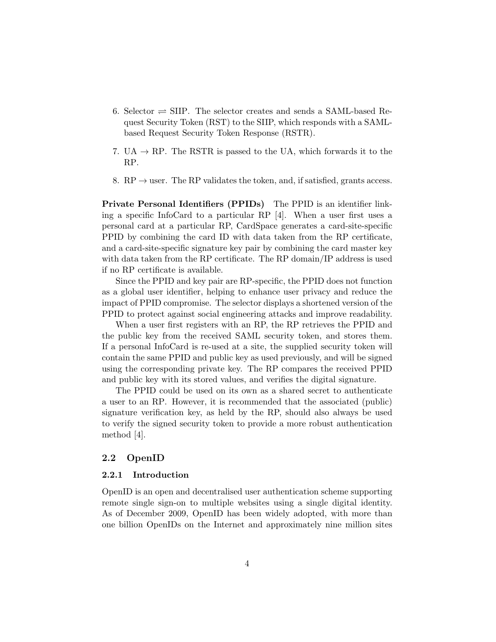- 6. Selector  $\Rightarrow$  SIIP. The selector creates and sends a SAML-based Request Security Token (RST) to the SIIP, which responds with a SAMLbased Request Security Token Response (RSTR).
- 7. UA  $\rightarrow$  RP. The RSTR is passed to the UA, which forwards it to the RP.
- 8. RP  $\rightarrow$  user. The RP validates the token, and, if satisfied, grants access.

Private Personal Identifiers (PPIDs) The PPID is an identifier linking a specific InfoCard to a particular RP [4]. When a user first uses a personal card at a particular RP, CardSpace generates a card-site-specific PPID by combining the card ID with data taken from the RP certificate, and a card-site-specific signature key pair by combining the card master key with data taken from the RP certificate. The RP domain/IP address is used if no RP certificate is available.

Since the PPID and key pair are RP-specific, the PPID does not function as a global user identifier, helping to enhance user privacy and reduce the impact of PPID compromise. The selector displays a shortened version of the PPID to protect against social engineering attacks and improve readability.

When a user first registers with an RP, the RP retrieves the PPID and the public key from the received SAML security token, and stores them. If a personal InfoCard is re-used at a site, the supplied security token will contain the same PPID and public key as used previously, and will be signed using the corresponding private key. The RP compares the received PPID and public key with its stored values, and verifies the digital signature.

The PPID could be used on its own as a shared secret to authenticate a user to an RP. However, it is recommended that the associated (public) signature verification key, as held by the RP, should also always be used to verify the signed security token to provide a more robust authentication method [4].

#### 2.2 OpenID

#### 2.2.1 Introduction

OpenID is an open and decentralised user authentication scheme supporting remote single sign-on to multiple websites using a single digital identity. As of December 2009, OpenID has been widely adopted, with more than one billion OpenIDs on the Internet and approximately nine million sites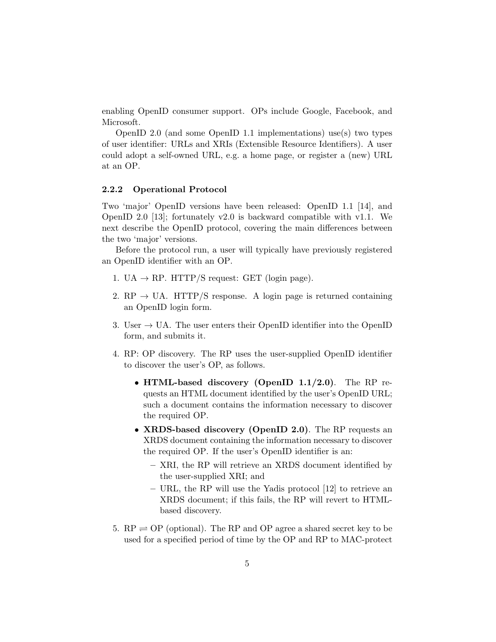enabling OpenID consumer support. OPs include Google, Facebook, and Microsoft.

OpenID 2.0 (and some OpenID 1.1 implementations) use(s) two types of user identifier: URLs and XRIs (Extensible Resource Identifiers). A user could adopt a self-owned URL, e.g. a home page, or register a (new) URL at an OP.

### 2.2.2 Operational Protocol

Two 'major' OpenID versions have been released: OpenID 1.1 [14], and OpenID 2.0 [13]; fortunately v2.0 is backward compatible with v1.1. We next describe the OpenID protocol, covering the main differences between the two 'major' versions.

Before the protocol run, a user will typically have previously registered an OpenID identifier with an OP.

- 1. UA  $\rightarrow$  RP. HTTP/S request: GET (login page).
- 2. RP  $\rightarrow$  UA. HTTP/S response. A login page is returned containing an OpenID login form.
- 3. User  $\rightarrow$  UA. The user enters their OpenID identifier into the OpenID form, and submits it.
- 4. RP: OP discovery. The RP uses the user-supplied OpenID identifier to discover the user's OP, as follows.
	- HTML-based discovery (OpenID 1.1/2.0). The RP requests an HTML document identified by the user's OpenID URL; such a document contains the information necessary to discover the required OP.
	- XRDS-based discovery (OpenID 2.0). The RP requests an XRDS document containing the information necessary to discover the required OP. If the user's OpenID identifier is an:
		- XRI, the RP will retrieve an XRDS document identified by the user-supplied XRI; and
		- URL, the RP will use the Yadis protocol [12] to retrieve an XRDS document; if this fails, the RP will revert to HTMLbased discovery.
- 5.  $RP \rightleftharpoons OP$  (optional). The RP and OP agree a shared secret key to be used for a specified period of time by the OP and RP to MAC-protect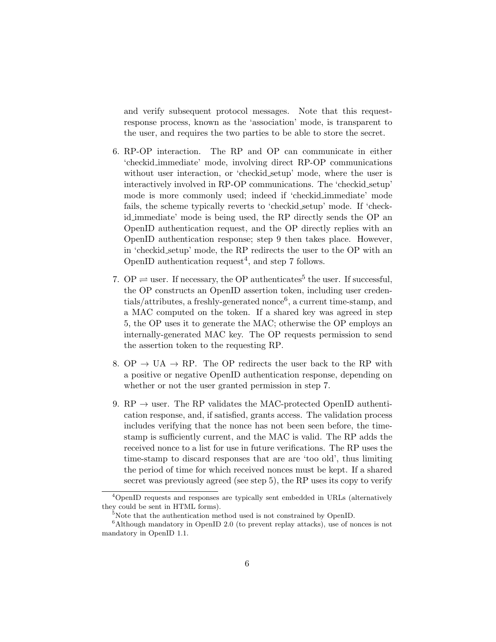and verify subsequent protocol messages. Note that this requestresponse process, known as the 'association' mode, is transparent to the user, and requires the two parties to be able to store the secret.

- 6. RP-OP interaction. The RP and OP can communicate in either 'checkid immediate' mode, involving direct RP-OP communications without user interaction, or 'checkid\_setup' mode, where the user is interactively involved in RP-OP communications. The 'checkid setup' mode is more commonly used; indeed if 'checkid immediate' mode fails, the scheme typically reverts to 'checkid setup' mode. If 'checkid immediate' mode is being used, the RP directly sends the OP an OpenID authentication request, and the OP directly replies with an OpenID authentication response; step 9 then takes place. However, in 'checkid setup' mode, the RP redirects the user to the OP with an OpenID authentication request<sup>4</sup>, and step 7 follows.
- 7. OP  $\rightleftharpoons$  user. If necessary, the OP authenticates<sup>5</sup> the user. If successful, the OP constructs an OpenID assertion token, including user creden- $\text{tails}/\text{attributes}$ , a freshly-generated nonce<sup>6</sup>, a current time-stamp, and a MAC computed on the token. If a shared key was agreed in step 5, the OP uses it to generate the MAC; otherwise the OP employs an internally-generated MAC key. The OP requests permission to send the assertion token to the requesting RP.
- 8. OP  $\rightarrow$  UA  $\rightarrow$  RP. The OP redirects the user back to the RP with a positive or negative OpenID authentication response, depending on whether or not the user granted permission in step 7.
- 9.  $RP \rightarrow$  user. The RP validates the MAC-protected OpenID authentication response, and, if satisfied, grants access. The validation process includes verifying that the nonce has not been seen before, the timestamp is sufficiently current, and the MAC is valid. The RP adds the received nonce to a list for use in future verifications. The RP uses the time-stamp to discard responses that are are 'too old', thus limiting the period of time for which received nonces must be kept. If a shared secret was previously agreed (see step 5), the RP uses its copy to verify

<sup>4</sup>OpenID requests and responses are typically sent embedded in URLs (alternatively they could be sent in HTML forms).

<sup>5</sup>Note that the authentication method used is not constrained by OpenID.

 $6$ Although mandatory in OpenID 2.0 (to prevent replay attacks), use of nonces is not mandatory in OpenID 1.1.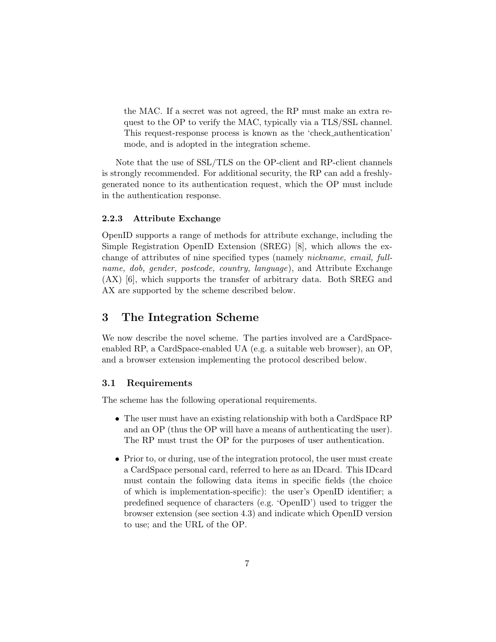the MAC. If a secret was not agreed, the RP must make an extra request to the OP to verify the MAC, typically via a TLS/SSL channel. This request-response process is known as the 'check authentication' mode, and is adopted in the integration scheme.

Note that the use of SSL/TLS on the OP-client and RP-client channels is strongly recommended. For additional security, the RP can add a freshlygenerated nonce to its authentication request, which the OP must include in the authentication response.

### 2.2.3 Attribute Exchange

OpenID supports a range of methods for attribute exchange, including the Simple Registration OpenID Extension (SREG) [8], which allows the exchange of attributes of nine specified types (namely nickname, email, fullname, dob, gender, postcode, country, language), and Attribute Exchange (AX) [6], which supports the transfer of arbitrary data. Both SREG and AX are supported by the scheme described below.

## 3 The Integration Scheme

We now describe the novel scheme. The parties involved are a CardSpaceenabled RP, a CardSpace-enabled UA (e.g. a suitable web browser), an OP, and a browser extension implementing the protocol described below.

### 3.1 Requirements

The scheme has the following operational requirements.

- The user must have an existing relationship with both a CardSpace RP and an OP (thus the OP will have a means of authenticating the user). The RP must trust the OP for the purposes of user authentication.
- Prior to, or during, use of the integration protocol, the user must create a CardSpace personal card, referred to here as an IDcard. This IDcard must contain the following data items in specific fields (the choice of which is implementation-specific): the user's OpenID identifier; a predefined sequence of characters (e.g. 'OpenID') used to trigger the browser extension (see section 4.3) and indicate which OpenID version to use; and the URL of the OP.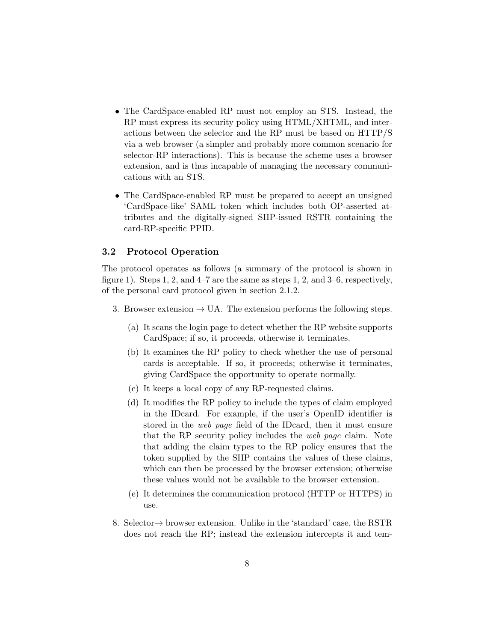- The CardSpace-enabled RP must not employ an STS. Instead, the RP must express its security policy using HTML/XHTML, and interactions between the selector and the RP must be based on HTTP/S via a web browser (a simpler and probably more common scenario for selector-RP interactions). This is because the scheme uses a browser extension, and is thus incapable of managing the necessary communications with an STS.
- The CardSpace-enabled RP must be prepared to accept an unsigned 'CardSpace-like' SAML token which includes both OP-asserted attributes and the digitally-signed SIIP-issued RSTR containing the card-RP-specific PPID.

### 3.2 Protocol Operation

The protocol operates as follows (a summary of the protocol is shown in figure 1). Steps 1, 2, and 4–7 are the same as steps 1, 2, and 3–6, respectively, of the personal card protocol given in section 2.1.2.

- 3. Browser extension  $\rightarrow$  UA. The extension performs the following steps.
	- (a) It scans the login page to detect whether the RP website supports CardSpace; if so, it proceeds, otherwise it terminates.
	- (b) It examines the RP policy to check whether the use of personal cards is acceptable. If so, it proceeds; otherwise it terminates, giving CardSpace the opportunity to operate normally.
	- (c) It keeps a local copy of any RP-requested claims.
	- (d) It modifies the RP policy to include the types of claim employed in the IDcard. For example, if the user's OpenID identifier is stored in the web page field of the IDcard, then it must ensure that the RP security policy includes the web page claim. Note that adding the claim types to the RP policy ensures that the token supplied by the SIIP contains the values of these claims, which can then be processed by the browser extension; otherwise these values would not be available to the browser extension.
	- (e) It determines the communication protocol (HTTP or HTTPS) in use.
- 8. Selector  $\rightarrow$  browser extension. Unlike in the 'standard' case, the RSTR does not reach the RP; instead the extension intercepts it and tem-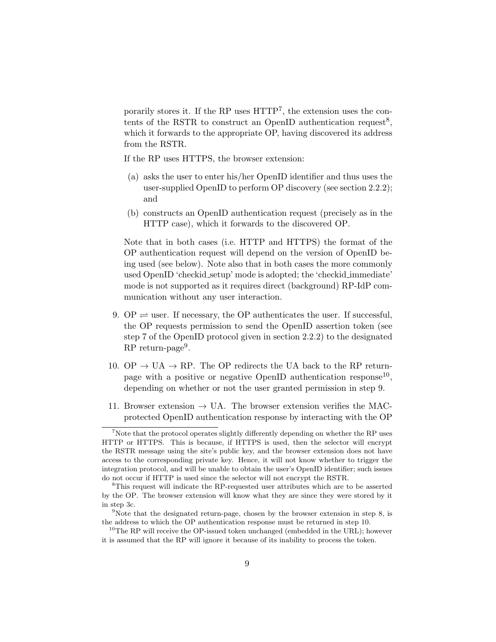porarily stores it. If the RP uses  $HTTP<sup>7</sup>$ , the extension uses the contents of the RSTR to construct an OpenID authentication request<sup>8</sup>, which it forwards to the appropriate OP, having discovered its address from the RSTR.

If the RP uses HTTPS, the browser extension:

- (a) asks the user to enter his/her OpenID identifier and thus uses the user-supplied OpenID to perform OP discovery (see section 2.2.2); and
- (b) constructs an OpenID authentication request (precisely as in the HTTP case), which it forwards to the discovered OP.

Note that in both cases (i.e. HTTP and HTTPS) the format of the OP authentication request will depend on the version of OpenID being used (see below). Note also that in both cases the more commonly used OpenID 'checkid setup' mode is adopted; the 'checkid immediate' mode is not supported as it requires direct (background) RP-IdP communication without any user interaction.

- 9.  $OP \rightleftharpoons$  user. If necessary, the OP authenticates the user. If successful, the OP requests permission to send the OpenID assertion token (see step 7 of the OpenID protocol given in section 2.2.2) to the designated  $RP$  return-page<sup>9</sup>.
- 10. OP  $\rightarrow$  UA  $\rightarrow$  RP. The OP redirects the UA back to the RP returnpage with a positive or negative OpenID authentication response<sup>10</sup>, depending on whether or not the user granted permission in step 9.
- 11. Browser extension  $\rightarrow$  UA. The browser extension verifies the MACprotected OpenID authentication response by interacting with the OP

<sup>&</sup>lt;sup>7</sup>Note that the protocol operates slightly differently depending on whether the RP uses HTTP or HTTPS. This is because, if HTTPS is used, then the selector will encrypt the RSTR message using the site's public key, and the browser extension does not have access to the corresponding private key. Hence, it will not know whether to trigger the integration protocol, and will be unable to obtain the user's OpenID identifier; such issues do not occur if HTTP is used since the selector will not encrypt the RSTR.

<sup>8</sup>This request will indicate the RP-requested user attributes which are to be asserted by the OP. The browser extension will know what they are since they were stored by it in step 3c.

 $9$ Note that the designated return-page, chosen by the browser extension in step 8, is the address to which the OP authentication response must be returned in step 10.

<sup>&</sup>lt;sup>10</sup>The RP will receive the OP-issued token unchanged (embedded in the URL); however it is assumed that the RP will ignore it because of its inability to process the token.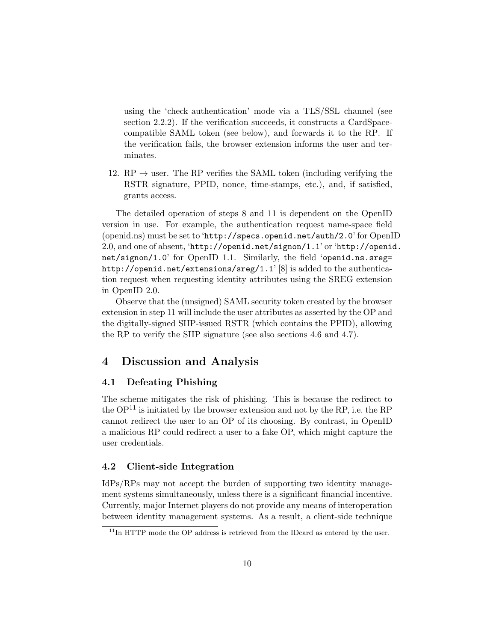using the 'check authentication' mode via a TLS/SSL channel (see section 2.2.2). If the verification succeeds, it constructs a CardSpacecompatible SAML token (see below), and forwards it to the RP. If the verification fails, the browser extension informs the user and terminates.

12.  $RP \rightarrow$  user. The RP verifies the SAML token (including verifying the RSTR signature, PPID, nonce, time-stamps, etc.), and, if satisfied, grants access.

The detailed operation of steps 8 and 11 is dependent on the OpenID version in use. For example, the authentication request name-space field (openid.ns) must be set to 'http://specs.openid.net/auth/2.0' for OpenID 2.0, and one of absent, 'http://openid.net/signon/1.1' or 'http://openid. net/signon/1.0' for OpenID 1.1. Similarly, the field 'openid.ns.sreg= http://openid.net/extensions/sreg/1.1' [8] is added to the authentication request when requesting identity attributes using the SREG extension in OpenID 2.0.

Observe that the (unsigned) SAML security token created by the browser extension in step 11 will include the user attributes as asserted by the OP and the digitally-signed SIIP-issued RSTR (which contains the PPID), allowing the RP to verify the SIIP signature (see also sections 4.6 and 4.7).

## 4 Discussion and Analysis

#### 4.1 Defeating Phishing

The scheme mitigates the risk of phishing. This is because the redirect to the  $OP<sup>11</sup>$  is initiated by the browser extension and not by the RP, i.e. the RP cannot redirect the user to an OP of its choosing. By contrast, in OpenID a malicious RP could redirect a user to a fake OP, which might capture the user credentials.

### 4.2 Client-side Integration

IdPs/RPs may not accept the burden of supporting two identity management systems simultaneously, unless there is a significant financial incentive. Currently, major Internet players do not provide any means of interoperation between identity management systems. As a result, a client-side technique

 $11$ In HTTP mode the OP address is retrieved from the IDcard as entered by the user.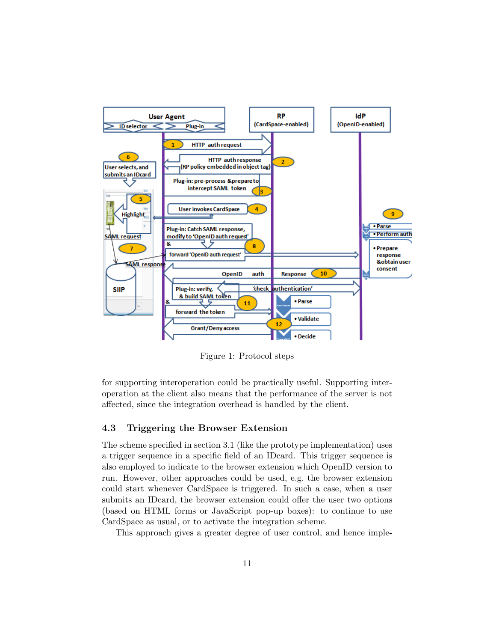

Figure 1: Protocol steps

for supporting interoperation could be practically useful. Supporting interoperation at the client also means that the performance of the server is not affected, since the integration overhead is handled by the client.

### 4.3 Triggering the Browser Extension

The scheme specified in section 3.1 (like the prototype implementation) uses a trigger sequence in a specific field of an IDcard. This trigger sequence is also employed to indicate to the browser extension which OpenID version to run. However, other approaches could be used, e.g. the browser extension could start whenever CardSpace is triggered. In such a case, when a user submits an IDcard, the browser extension could offer the user two options (based on HTML forms or JavaScript pop-up boxes): to continue to use CardSpace as usual, or to activate the integration scheme.

This approach gives a greater degree of user control, and hence imple-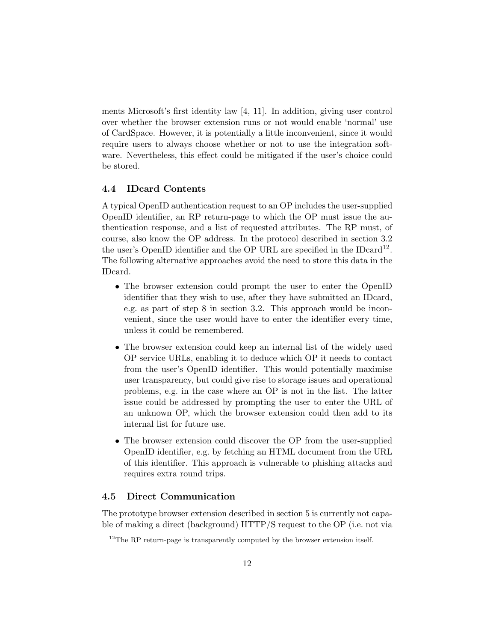ments Microsoft's first identity law [4, 11]. In addition, giving user control over whether the browser extension runs or not would enable 'normal' use of CardSpace. However, it is potentially a little inconvenient, since it would require users to always choose whether or not to use the integration software. Nevertheless, this effect could be mitigated if the user's choice could be stored.

### 4.4 IDcard Contents

A typical OpenID authentication request to an OP includes the user-supplied OpenID identifier, an RP return-page to which the OP must issue the authentication response, and a list of requested attributes. The RP must, of course, also know the OP address. In the protocol described in section 3.2 the user's OpenID identifier and the OP URL are specified in the IDcard<sup>12</sup>. The following alternative approaches avoid the need to store this data in the IDcard.

- The browser extension could prompt the user to enter the OpenID identifier that they wish to use, after they have submitted an IDcard, e.g. as part of step 8 in section 3.2. This approach would be inconvenient, since the user would have to enter the identifier every time, unless it could be remembered.
- The browser extension could keep an internal list of the widely used OP service URLs, enabling it to deduce which OP it needs to contact from the user's OpenID identifier. This would potentially maximise user transparency, but could give rise to storage issues and operational problems, e.g. in the case where an OP is not in the list. The latter issue could be addressed by prompting the user to enter the URL of an unknown OP, which the browser extension could then add to its internal list for future use.
- The browser extension could discover the OP from the user-supplied OpenID identifier, e.g. by fetching an HTML document from the URL of this identifier. This approach is vulnerable to phishing attacks and requires extra round trips.

### 4.5 Direct Communication

The prototype browser extension described in section 5 is currently not capable of making a direct (background) HTTP/S request to the OP (i.e. not via

<sup>&</sup>lt;sup>12</sup>The RP return-page is transparently computed by the browser extension itself.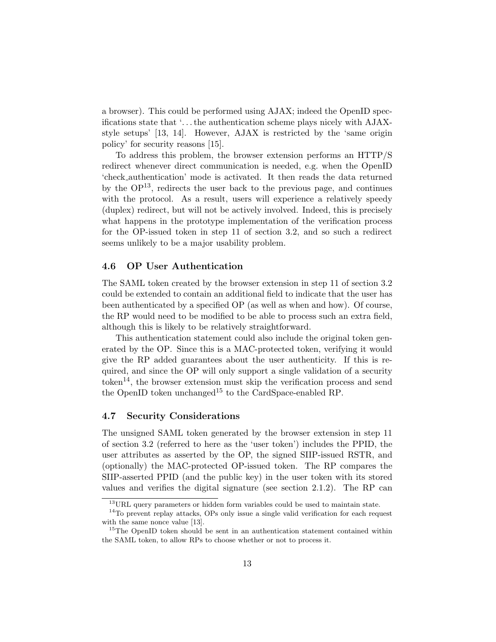a browser). This could be performed using AJAX; indeed the OpenID specifications state that '. . . the authentication scheme plays nicely with AJAXstyle setups' [13, 14]. However, AJAX is restricted by the 'same origin policy' for security reasons [15].

To address this problem, the browser extension performs an HTTP/S redirect whenever direct communication is needed, e.g. when the OpenID 'check authentication' mode is activated. It then reads the data returned by the  $OP<sup>13</sup>$ , redirects the user back to the previous page, and continues with the protocol. As a result, users will experience a relatively speedy (duplex) redirect, but will not be actively involved. Indeed, this is precisely what happens in the prototype implementation of the verification process for the OP-issued token in step 11 of section 3.2, and so such a redirect seems unlikely to be a major usability problem.

#### 4.6 OP User Authentication

The SAML token created by the browser extension in step 11 of section 3.2 could be extended to contain an additional field to indicate that the user has been authenticated by a specified OP (as well as when and how). Of course, the RP would need to be modified to be able to process such an extra field, although this is likely to be relatively straightforward.

This authentication statement could also include the original token generated by the OP. Since this is a MAC-protected token, verifying it would give the RP added guarantees about the user authenticity. If this is required, and since the OP will only support a single validation of a security token<sup>14</sup>, the browser extension must skip the verification process and send the OpenID token unchanged<sup>15</sup> to the CardSpace-enabled RP.

### 4.7 Security Considerations

The unsigned SAML token generated by the browser extension in step 11 of section 3.2 (referred to here as the 'user token') includes the PPID, the user attributes as asserted by the OP, the signed SIIP-issued RSTR, and (optionally) the MAC-protected OP-issued token. The RP compares the SIIP-asserted PPID (and the public key) in the user token with its stored values and verifies the digital signature (see section 2.1.2). The RP can

 $13$ URL query parameters or hidden form variables could be used to maintain state.

<sup>&</sup>lt;sup>14</sup>To prevent replay attacks, OPs only issue a single valid verification for each request with the same nonce value [13].

<sup>&</sup>lt;sup>15</sup>The OpenID token should be sent in an authentication statement contained within the SAML token, to allow RPs to choose whether or not to process it.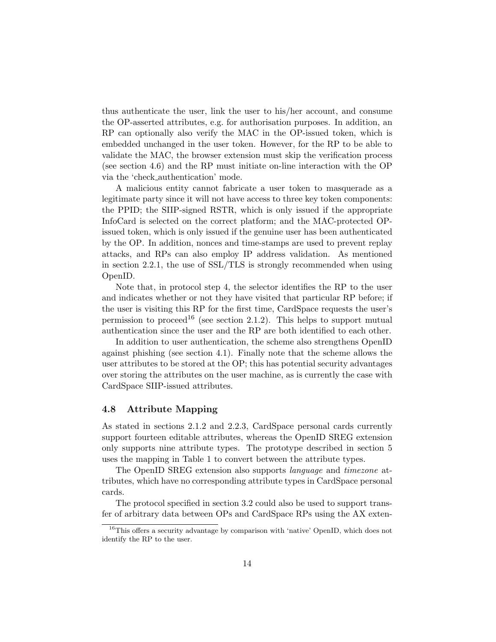thus authenticate the user, link the user to his/her account, and consume the OP-asserted attributes, e.g. for authorisation purposes. In addition, an RP can optionally also verify the MAC in the OP-issued token, which is embedded unchanged in the user token. However, for the RP to be able to validate the MAC, the browser extension must skip the verification process (see section 4.6) and the RP must initiate on-line interaction with the OP via the 'check authentication' mode.

A malicious entity cannot fabricate a user token to masquerade as a legitimate party since it will not have access to three key token components: the PPID; the SIIP-signed RSTR, which is only issued if the appropriate InfoCard is selected on the correct platform; and the MAC-protected OPissued token, which is only issued if the genuine user has been authenticated by the OP. In addition, nonces and time-stamps are used to prevent replay attacks, and RPs can also employ IP address validation. As mentioned in section 2.2.1, the use of SSL/TLS is strongly recommended when using OpenID.

Note that, in protocol step 4, the selector identifies the RP to the user and indicates whether or not they have visited that particular RP before; if the user is visiting this RP for the first time, CardSpace requests the user's permission to proceed<sup>16</sup> (see section 2.1.2). This helps to support mutual authentication since the user and the RP are both identified to each other.

In addition to user authentication, the scheme also strengthens OpenID against phishing (see section 4.1). Finally note that the scheme allows the user attributes to be stored at the OP; this has potential security advantages over storing the attributes on the user machine, as is currently the case with CardSpace SIIP-issued attributes.

#### 4.8 Attribute Mapping

As stated in sections 2.1.2 and 2.2.3, CardSpace personal cards currently support fourteen editable attributes, whereas the OpenID SREG extension only supports nine attribute types. The prototype described in section 5 uses the mapping in Table 1 to convert between the attribute types.

The OpenID SREG extension also supports language and timezone attributes, which have no corresponding attribute types in CardSpace personal cards.

The protocol specified in section 3.2 could also be used to support transfer of arbitrary data between OPs and CardSpace RPs using the AX exten-

<sup>&</sup>lt;sup>16</sup>This offers a security advantage by comparison with 'native' OpenID, which does not identify the RP to the user.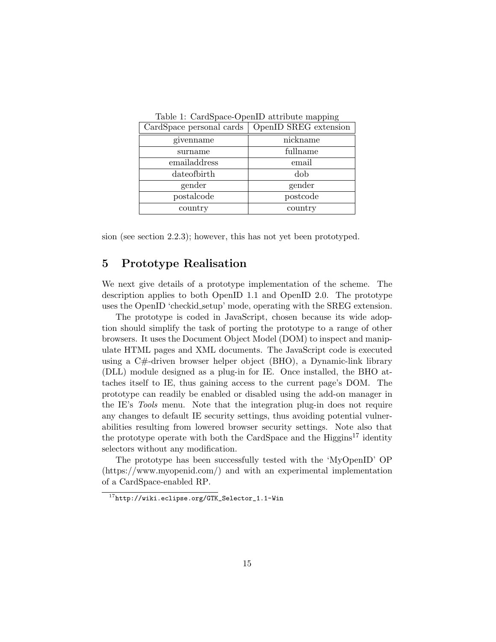| CardSpace personal cards | OpenID SREG extension |
|--------------------------|-----------------------|
| givenname                | nickname              |
| surname                  | fullname              |
| emailaddress             | email                 |
| dates of birth           | dob                   |
| gender                   | gender                |
| postalcode               | postcode              |
| country                  | country               |

Table 1: CardSpace-OpenID attribute mapping

sion (see section 2.2.3); however, this has not yet been prototyped.

## 5 Prototype Realisation

We next give details of a prototype implementation of the scheme. The description applies to both OpenID 1.1 and OpenID 2.0. The prototype uses the OpenID 'checkid setup' mode, operating with the SREG extension.

The prototype is coded in JavaScript, chosen because its wide adoption should simplify the task of porting the prototype to a range of other browsers. It uses the Document Object Model (DOM) to inspect and manipulate HTML pages and XML documents. The JavaScript code is executed using a C#-driven browser helper object (BHO), a Dynamic-link library (DLL) module designed as a plug-in for IE. Once installed, the BHO attaches itself to IE, thus gaining access to the current page's DOM. The prototype can readily be enabled or disabled using the add-on manager in the IE's Tools menu. Note that the integration plug-in does not require any changes to default IE security settings, thus avoiding potential vulnerabilities resulting from lowered browser security settings. Note also that the prototype operate with both the CardSpace and the Higgins<sup>17</sup> identity selectors without any modification.

The prototype has been successfully tested with the 'MyOpenID' OP (https://www.myopenid.com/) and with an experimental implementation of a CardSpace-enabled RP.

<sup>17</sup>http://wiki.eclipse.org/GTK\_Selector\_1.1-Win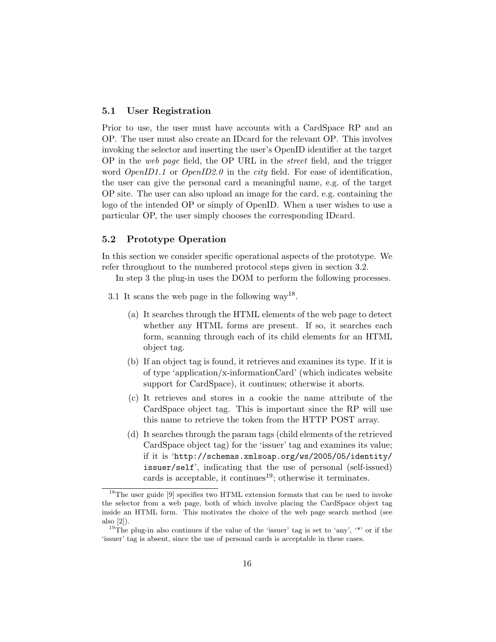### 5.1 User Registration

Prior to use, the user must have accounts with a CardSpace RP and an OP. The user must also create an IDcard for the relevant OP. This involves invoking the selector and inserting the user's OpenID identifier at the target OP in the web page field, the OP URL in the street field, and the trigger word  $OpenID1.1$  or  $OpenID2.0$  in the *city* field. For ease of identification, the user can give the personal card a meaningful name, e.g. of the target OP site. The user can also upload an image for the card, e.g. containing the logo of the intended OP or simply of OpenID. When a user wishes to use a particular OP, the user simply chooses the corresponding IDcard.

### 5.2 Prototype Operation

In this section we consider specific operational aspects of the prototype. We refer throughout to the numbered protocol steps given in section 3.2.

In step 3 the plug-in uses the DOM to perform the following processes.

- 3.1 It scans the web page in the following way<sup>18</sup>.
	- (a) It searches through the HTML elements of the web page to detect whether any HTML forms are present. If so, it searches each form, scanning through each of its child elements for an HTML object tag.
	- (b) If an object tag is found, it retrieves and examines its type. If it is of type 'application/x-informationCard' (which indicates website support for CardSpace), it continues; otherwise it aborts.
	- (c) It retrieves and stores in a cookie the name attribute of the CardSpace object tag. This is important since the RP will use this name to retrieve the token from the HTTP POST array.
	- (d) It searches through the param tags (child elements of the retrieved CardSpace object tag) for the 'issuer' tag and examines its value; if it is 'http://schemas.xmlsoap.org/ws/2005/05/identity/ issuer/self', indicating that the use of personal (self-issued) cards is acceptable, it continues<sup>19</sup>; otherwise it terminates.

<sup>&</sup>lt;sup>18</sup>The user guide [9] specifies two HTML extension formats that can be used to invoke the selector from a web page, both of which involve placing the CardSpace object tag inside an HTML form. This motivates the choice of the web page search method (see also [2]).

<sup>&</sup>lt;sup>19</sup>The plug-in also continues if the value of the 'issuer' tag is set to 'any', '\*' or if the 'issuer' tag is absent, since the use of personal cards is acceptable in these cases.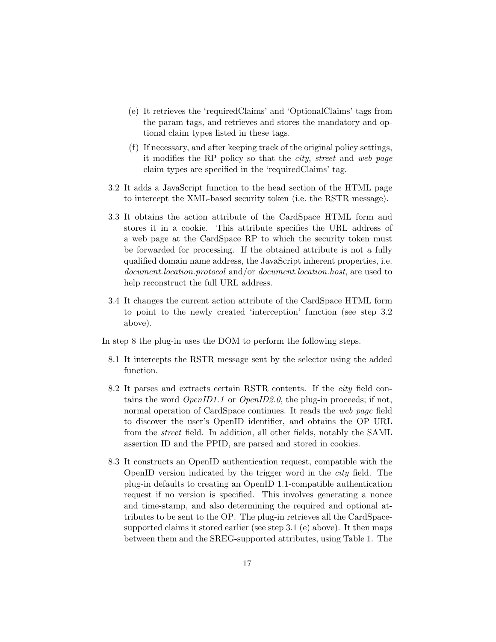- (e) It retrieves the 'requiredClaims' and 'OptionalClaims' tags from the param tags, and retrieves and stores the mandatory and optional claim types listed in these tags.
- (f) If necessary, and after keeping track of the original policy settings, it modifies the RP policy so that the city, street and web page claim types are specified in the 'requiredClaims' tag.
- 3.2 It adds a JavaScript function to the head section of the HTML page to intercept the XML-based security token (i.e. the RSTR message).
- 3.3 It obtains the action attribute of the CardSpace HTML form and stores it in a cookie. This attribute specifies the URL address of a web page at the CardSpace RP to which the security token must be forwarded for processing. If the obtained attribute is not a fully qualified domain name address, the JavaScript inherent properties, i.e. document.location.protocol and/or document.location.host, are used to help reconstruct the full URL address.
- 3.4 It changes the current action attribute of the CardSpace HTML form to point to the newly created 'interception' function (see step 3.2 above).

In step 8 the plug-in uses the DOM to perform the following steps.

- 8.1 It intercepts the RSTR message sent by the selector using the added function.
- 8.2 It parses and extracts certain RSTR contents. If the city field contains the word  $OpenID1.1$  or  $OpenID2.0$ , the plug-in proceeds; if not, normal operation of CardSpace continues. It reads the web page field to discover the user's OpenID identifier, and obtains the OP URL from the street field. In addition, all other fields, notably the SAML assertion ID and the PPID, are parsed and stored in cookies.
- 8.3 It constructs an OpenID authentication request, compatible with the OpenID version indicated by the trigger word in the city field. The plug-in defaults to creating an OpenID 1.1-compatible authentication request if no version is specified. This involves generating a nonce and time-stamp, and also determining the required and optional attributes to be sent to the OP. The plug-in retrieves all the CardSpacesupported claims it stored earlier (see step 3.1 (e) above). It then maps between them and the SREG-supported attributes, using Table 1. The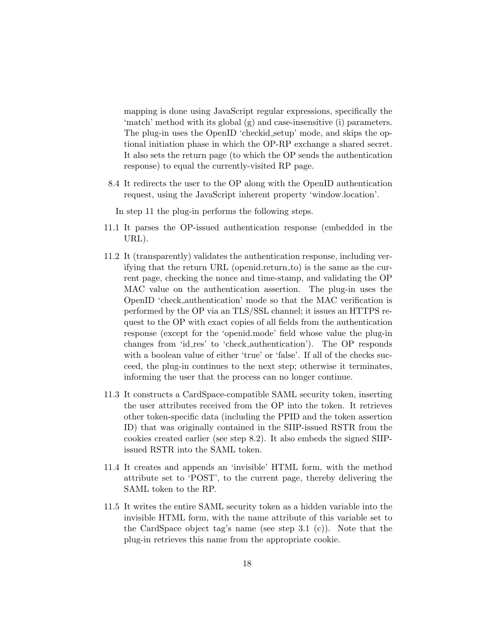mapping is done using JavaScript regular expressions, specifically the 'match' method with its global (g) and case-insensitive (i) parameters. The plug-in uses the OpenID 'checkid setup' mode, and skips the optional initiation phase in which the OP-RP exchange a shared secret. It also sets the return page (to which the OP sends the authentication response) to equal the currently-visited RP page.

8.4 It redirects the user to the OP along with the OpenID authentication request, using the JavaScript inherent property 'window.location'.

In step 11 the plug-in performs the following steps.

- 11.1 It parses the OP-issued authentication response (embedded in the URL).
- 11.2 It (transparently) validates the authentication response, including verifying that the return URL (openid.return\_to) is the same as the current page, checking the nonce and time-stamp, and validating the OP MAC value on the authentication assertion. The plug-in uses the OpenID 'check authentication' mode so that the MAC verification is performed by the OP via an TLS/SSL channel; it issues an HTTPS request to the OP with exact copies of all fields from the authentication response (except for the 'openid.mode' field whose value the plug-in changes from 'id res' to 'check authentication'). The OP responds with a boolean value of either 'true' or 'false'. If all of the checks succeed, the plug-in continues to the next step; otherwise it terminates, informing the user that the process can no longer continue.
- 11.3 It constructs a CardSpace-compatible SAML security token, inserting the user attributes received from the OP into the token. It retrieves other token-specific data (including the PPID and the token assertion ID) that was originally contained in the SIIP-issued RSTR from the cookies created earlier (see step 8.2). It also embeds the signed SIIPissued RSTR into the SAML token.
- 11.4 It creates and appends an 'invisible' HTML form, with the method attribute set to 'POST', to the current page, thereby delivering the SAML token to the RP.
- 11.5 It writes the entire SAML security token as a hidden variable into the invisible HTML form, with the name attribute of this variable set to the CardSpace object tag's name (see step 3.1 (c)). Note that the plug-in retrieves this name from the appropriate cookie.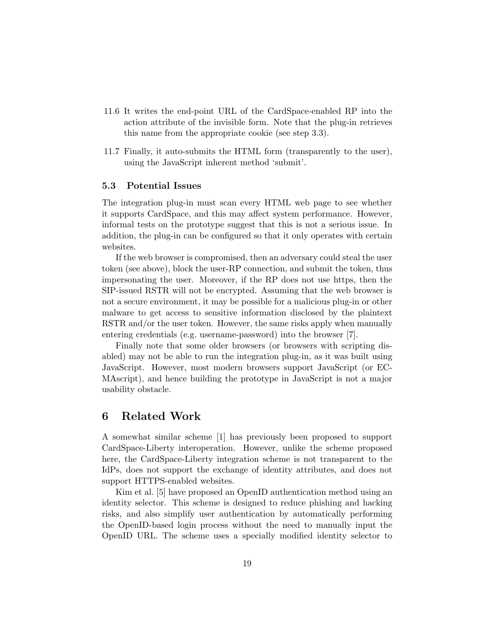- 11.6 It writes the end-point URL of the CardSpace-enabled RP into the action attribute of the invisible form. Note that the plug-in retrieves this name from the appropriate cookie (see step 3.3).
- 11.7 Finally, it auto-submits the HTML form (transparently to the user), using the JavaScript inherent method 'submit'.

#### 5.3 Potential Issues

The integration plug-in must scan every HTML web page to see whether it supports CardSpace, and this may affect system performance. However, informal tests on the prototype suggest that this is not a serious issue. In addition, the plug-in can be configured so that it only operates with certain websites.

If the web browser is compromised, then an adversary could steal the user token (see above), block the user-RP connection, and submit the token, thus impersonating the user. Moreover, if the RP does not use https, then the SIP-issued RSTR will not be encrypted. Assuming that the web browser is not a secure environment, it may be possible for a malicious plug-in or other malware to get access to sensitive information disclosed by the plaintext RSTR and/or the user token. However, the same risks apply when manually entering credentials (e.g. username-password) into the browser [7].

Finally note that some older browsers (or browsers with scripting disabled) may not be able to run the integration plug-in, as it was built using JavaScript. However, most modern browsers support JavaScript (or EC-MAscript), and hence building the prototype in JavaScript is not a major usability obstacle.

## 6 Related Work

A somewhat similar scheme [1] has previously been proposed to support CardSpace-Liberty interoperation. However, unlike the scheme proposed here, the CardSpace-Liberty integration scheme is not transparent to the IdPs, does not support the exchange of identity attributes, and does not support HTTPS-enabled websites.

Kim et al. [5] have proposed an OpenID authentication method using an identity selector. This scheme is designed to reduce phishing and hacking risks, and also simplify user authentication by automatically performing the OpenID-based login process without the need to manually input the OpenID URL. The scheme uses a specially modified identity selector to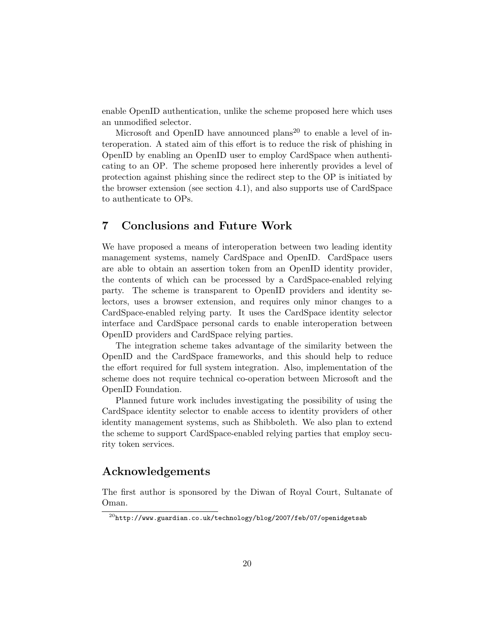enable OpenID authentication, unlike the scheme proposed here which uses an unmodified selector.

Microsoft and OpenID have announced plans<sup>20</sup> to enable a level of interoperation. A stated aim of this effort is to reduce the risk of phishing in OpenID by enabling an OpenID user to employ CardSpace when authenticating to an OP. The scheme proposed here inherently provides a level of protection against phishing since the redirect step to the OP is initiated by the browser extension (see section 4.1), and also supports use of CardSpace to authenticate to OPs.

## 7 Conclusions and Future Work

We have proposed a means of interoperation between two leading identity management systems, namely CardSpace and OpenID. CardSpace users are able to obtain an assertion token from an OpenID identity provider, the contents of which can be processed by a CardSpace-enabled relying party. The scheme is transparent to OpenID providers and identity selectors, uses a browser extension, and requires only minor changes to a CardSpace-enabled relying party. It uses the CardSpace identity selector interface and CardSpace personal cards to enable interoperation between OpenID providers and CardSpace relying parties.

The integration scheme takes advantage of the similarity between the OpenID and the CardSpace frameworks, and this should help to reduce the effort required for full system integration. Also, implementation of the scheme does not require technical co-operation between Microsoft and the OpenID Foundation.

Planned future work includes investigating the possibility of using the CardSpace identity selector to enable access to identity providers of other identity management systems, such as Shibboleth. We also plan to extend the scheme to support CardSpace-enabled relying parties that employ security token services.

## Acknowledgements

The first author is sponsored by the Diwan of Royal Court, Sultanate of Oman.

 $^{20}\mathrm{http://www.guardian.co.uk/technology/blog/2007/feb/07/openidgetsab}$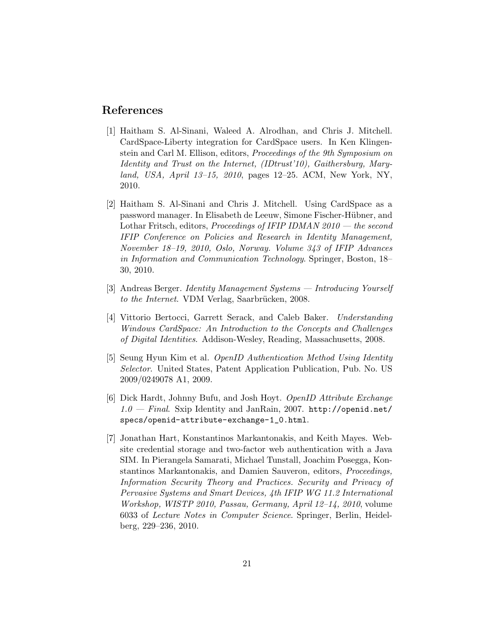## References

- [1] Haitham S. Al-Sinani, Waleed A. Alrodhan, and Chris J. Mitchell. CardSpace-Liberty integration for CardSpace users. In Ken Klingenstein and Carl M. Ellison, editors, Proceedings of the 9th Symposium on Identity and Trust on the Internet, (IDtrust'10), Gaithersburg, Maryland, USA, April 13-15, 2010, pages 12-25. ACM, New York, NY, 2010.
- [2] Haitham S. Al-Sinani and Chris J. Mitchell. Using CardSpace as a password manager. In Elisabeth de Leeuw, Simone Fischer-Hübner, and Lothar Fritsch, editors, *Proceedings of IFIP IDMAN*  $2010 -$  the second IFIP Conference on Policies and Research in Identity Management, November 18–19, 2010, Oslo, Norway. Volume 343 of IFIP Advances in Information and Communication Technology. Springer, Boston, 18– 30, 2010.
- [3] Andreas Berger. Identity Management Systems Introducing Yourself to the Internet. VDM Verlag, Saarbrücken, 2008.
- [4] Vittorio Bertocci, Garrett Serack, and Caleb Baker. Understanding Windows CardSpace: An Introduction to the Concepts and Challenges of Digital Identities. Addison-Wesley, Reading, Massachusetts, 2008.
- [5] Seung Hyun Kim et al. OpenID Authentication Method Using Identity Selector. United States, Patent Application Publication, Pub. No. US 2009/0249078 A1, 2009.
- [6] Dick Hardt, Johnny Bufu, and Josh Hoyt. OpenID Attribute Exchange  $1.0$  — Final. Sxip Identity and JanRain, 2007. http://openid.net/ specs/openid-attribute-exchange-1\_0.html.
- [7] Jonathan Hart, Konstantinos Markantonakis, and Keith Mayes. Website credential storage and two-factor web authentication with a Java SIM. In Pierangela Samarati, Michael Tunstall, Joachim Posegga, Konstantinos Markantonakis, and Damien Sauveron, editors, Proceedings, Information Security Theory and Practices. Security and Privacy of Pervasive Systems and Smart Devices, 4th IFIP WG 11.2 International Workshop, WISTP 2010, Passau, Germany, April 12–14, 2010, volume 6033 of Lecture Notes in Computer Science. Springer, Berlin, Heidelberg, 229–236, 2010.